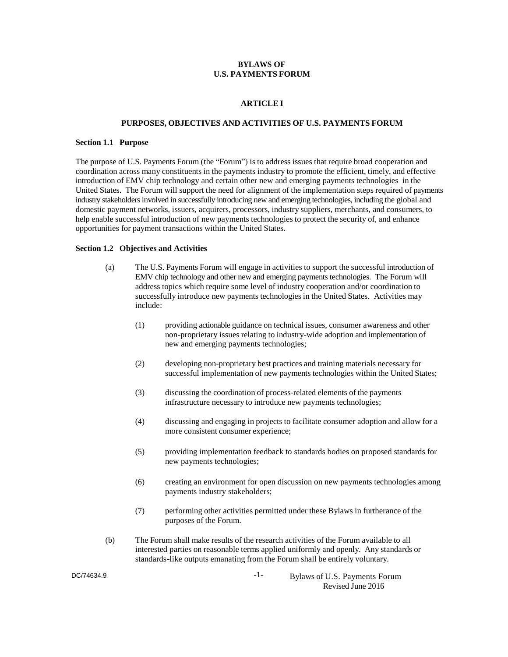## **BYLAWS OF U.S. PAYMENTS FORUM**

#### **ARTICLE I**

## **PURPOSES, OBJECTIVES AND ACTIVITIES OF U.S. PAYMENTS FORUM**

#### **Section 1.1 Purpose**

The purpose of U.S. Payments Forum (the "Forum") is to address issues that require broad cooperation and coordination across many constituents in the payments industry to promote the efficient, timely, and effective introduction of EMV chip technology and certain other new and emerging payments technologies in the United States. The Forum will support the need for alignment of the implementation steps required of payments industry stakeholders involved in successfully introducing new and emerging technologies, including the global and domestic payment networks, issuers, acquirers, processors, industry suppliers, merchants, and consumers, to help enable successful introduction of new payments technologies to protect the security of, and enhance opportunities for payment transactions within the United States.

## **Section 1.2 Objectives and Activities**

- (a) The U.S. Payments Forum will engage in activities to support the successful introduction of EMV chip technology and other new and emerging payments technologies. The Forum will address topics which require some level of industry cooperation and/or coordination to successfully introduce new payments technologies in the United States. Activities may include:
	- (1) providing actionable guidance on technical issues, consumer awareness and other non-proprietary issues relating to industry-wide adoption and implementation of new and emerging payments technologies;
	- (2) developing non-proprietary best practices and training materials necessary for successful implementation of new payments technologies within the United States;
	- (3) discussing the coordination of process-related elements of the payments infrastructure necessary to introduce new payments technologies;
	- (4) discussing and engaging in projects to facilitate consumer adoption and allow for a more consistent consumer experience;
	- (5) providing implementation feedback to standards bodies on proposed standards for new payments technologies;
	- (6) creating an environment for open discussion on new payments technologies among payments industry stakeholders;
	- (7) performing other activities permitted under these Bylaws in furtherance of the purposes of the Forum.
- (b) The Forum shall make results of the research activities of the Forum available to all interested parties on reasonable terms applied uniformly and openly. Any standards or standards-like outputs emanating from the Forum shall be entirely voluntary.

DC/74634.9

-1- Bylaws of U.S. Payments Forum Revised June 2016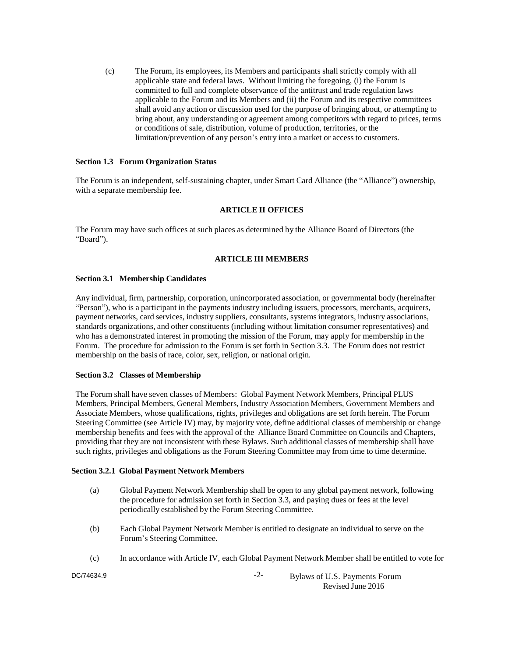(c) The Forum, its employees, its Members and participants shall strictly comply with all applicable state and federal laws. Without limiting the foregoing, (i) the Forum is committed to full and complete observance of the antitrust and trade regulation laws applicable to the Forum and its Members and (ii) the Forum and its respective committees shall avoid any action or discussion used for the purpose of bringing about, or attempting to bring about, any understanding or agreement among competitors with regard to prices, terms or conditions of sale, distribution, volume of production, territories, or the limitation/prevention of any person's entry into a market or access to customers.

## **Section 1.3 Forum Organization Status**

The Forum is an independent, self-sustaining chapter, under Smart Card Alliance (the "Alliance") ownership, with a separate membership fee.

# **ARTICLE II OFFICES**

The Forum may have such offices at such places as determined by the Alliance Board of Directors (the "Board").

# **ARTICLE III MEMBERS**

## **Section 3.1 Membership Candidates**

Any individual, firm, partnership, corporation, unincorporated association, or governmental body (hereinafter "Person"), who is a participant in the payments industry including issuers, processors, merchants, acquirers, payment networks, card services, industry suppliers, consultants, systems integrators, industry associations, standards organizations, and other constituents (including without limitation consumer representatives) and who has a demonstrated interest in promoting the mission of the Forum, may apply for membership in the Forum. The procedure for admission to the Forum is set forth in Section 3.3. The Forum does not restrict membership on the basis of race, color, sex, religion, or national origin.

## **Section 3.2 Classes of Membership**

The Forum shall have seven classes of Members: Global Payment Network Members, Principal PLUS Members, Principal Members, General Members, Industry Association Members, Government Members and Associate Members, whose qualifications, rights, privileges and obligations are set forth herein. The Forum Steering Committee (see Article IV) may, by majority vote, define additional classes of membership or change membership benefits and fees with the approval of the Alliance Board Committee on Councils and Chapters, providing that they are not inconsistent with these Bylaws. Such additional classes of membership shall have such rights, privileges and obligations as the Forum Steering Committee may from time to time determine.

## **Section 3.2.1 Global Payment Network Members**

- (a) Global Payment Network Membership shall be open to any global payment network, following the procedure for admission set forth in Section 3.3, and paying dues or fees at the level periodically established by the Forum Steering Committee.
- (b) Each Global Payment Network Member is entitled to designate an individual to serve on the Forum's Steering Committee.
- (c) In accordance with Article IV, each Global Payment Network Member shall be entitled to vote for

DC/74634.9

-2- Bylaws of U.S. Payments Forum Revised June 2016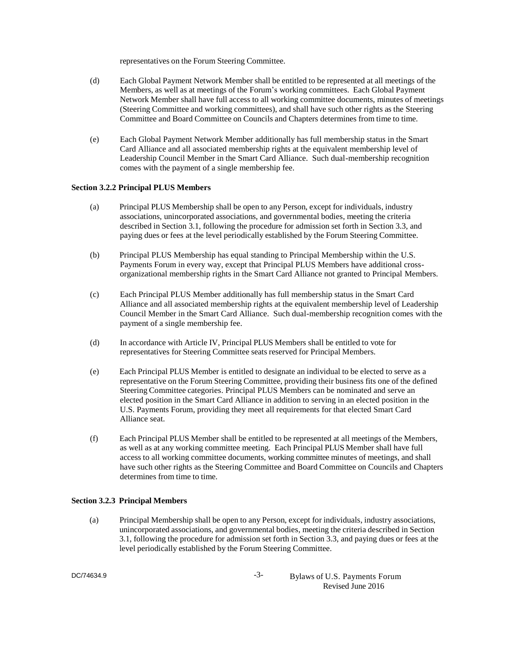representatives on the Forum Steering Committee.

- (d) Each Global Payment Network Member shall be entitled to be represented at all meetings of the Members, as well as at meetings of the Forum's working committees. Each Global Payment Network Member shall have full access to all working committee documents, minutes of meetings (Steering Committee and working committees), and shall have such other rights as the Steering Committee and Board Committee on Councils and Chapters determines from time to time.
- (e) Each Global Payment Network Member additionally has full membership status in the Smart Card Alliance and all associated membership rights at the equivalent membership level of Leadership Council Member in the Smart Card Alliance. Such dual-membership recognition comes with the payment of a single membership fee.

## **Section 3.2.2 Principal PLUS Members**

- (a) Principal PLUS Membership shall be open to any Person, except for individuals, industry associations, unincorporated associations, and governmental bodies, meeting the criteria described in Section 3.1, following the procedure for admission set forth in Section 3.3, and paying dues or fees at the level periodically established by the Forum Steering Committee.
- (b) Principal PLUS Membership has equal standing to Principal Membership within the U.S. Payments Forum in every way, except that Principal PLUS Members have additional crossorganizational membership rights in the Smart Card Alliance not granted to Principal Members.
- (c) Each Principal PLUS Member additionally has full membership status in the Smart Card Alliance and all associated membership rights at the equivalent membership level of Leadership Council Member in the Smart Card Alliance. Such dual-membership recognition comes with the payment of a single membership fee.
- (d) In accordance with Article IV, Principal PLUS Members shall be entitled to vote for representatives for Steering Committee seats reserved for Principal Members.
- (e) Each Principal PLUS Member is entitled to designate an individual to be elected to serve as a representative on the Forum Steering Committee, providing their business fits one of the defined Steering Committee categories. Principal PLUS Members can be nominated and serve an elected position in the Smart Card Alliance in addition to serving in an elected position in the U.S. Payments Forum, providing they meet all requirements for that elected Smart Card Alliance seat.
- (f) Each Principal PLUS Member shall be entitled to be represented at all meetings of the Members, as well as at any working committee meeting. Each Principal PLUS Member shall have full access to all working committee documents, working committee minutes of meetings, and shall have such other rights as the Steering Committee and Board Committee on Councils and Chapters determines from time to time.

## **Section 3.2.3 Principal Members**

(a) Principal Membership shall be open to any Person, except for individuals, industry associations, unincorporated associations, and governmental bodies, meeting the criteria described in Section 3.1, following the procedure for admission set forth in Section 3.3, and paying dues or fees at the level periodically established by the Forum Steering Committee.

DC/74634.9

-3- Bylaws of U.S. Payments Forum Revised June 2016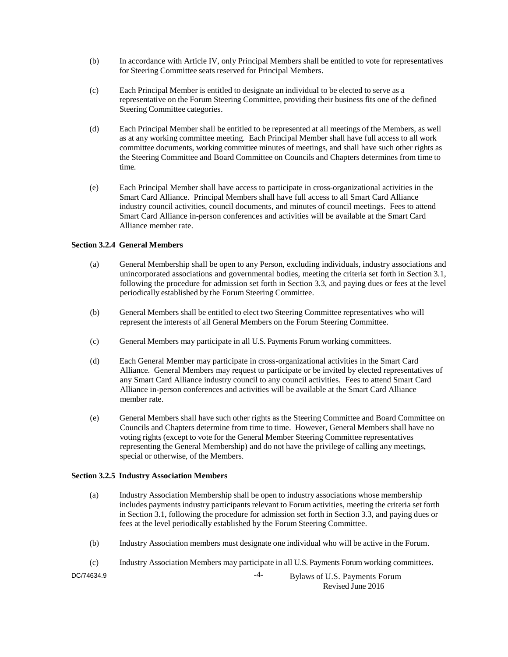- (b) In accordance with Article IV, only Principal Members shall be entitled to vote for representatives for Steering Committee seats reserved for Principal Members.
- (c) Each Principal Member is entitled to designate an individual to be elected to serve as a representative on the Forum Steering Committee, providing their business fits one of the defined Steering Committee categories.
- (d) Each Principal Member shall be entitled to be represented at all meetings of the Members, as well as at any working committee meeting. Each Principal Member shall have full access to all work committee documents, working committee minutes of meetings, and shall have such other rights as the Steering Committee and Board Committee on Councils and Chapters determines from time to time.
- (e) Each Principal Member shall have access to participate in cross-organizational activities in the Smart Card Alliance. Principal Members shall have full access to all Smart Card Alliance industry council activities, council documents, and minutes of council meetings. Fees to attend Smart Card Alliance in-person conferences and activities will be available at the Smart Card Alliance member rate.

# **Section 3.2.4 General Members**

- (a) General Membership shall be open to any Person, excluding individuals, industry associations and unincorporated associations and governmental bodies, meeting the criteria set forth in Section 3.1, following the procedure for admission set forth in Section 3.3, and paying dues or fees at the level periodically established by the Forum Steering Committee.
- (b) General Members shall be entitled to elect two Steering Committee representatives who will represent the interests of all General Members on the Forum Steering Committee.
- (c) General Members may participate in all U.S. Payments Forum working committees.
- (d) Each General Member may participate in cross-organizational activities in the Smart Card Alliance. General Members may request to participate or be invited by elected representatives of any Smart Card Alliance industry council to any council activities. Fees to attend Smart Card Alliance in-person conferences and activities will be available at the Smart Card Alliance member rate.
- (e) General Members shall have such other rights as the Steering Committee and Board Committee on Councils and Chapters determine from time to time. However, General Members shall have no voting rights (except to vote for the General Member Steering Committee representatives representing the General Membership) and do not have the privilege of calling any meetings, special or otherwise, of the Members.

# **Section 3.2.5 Industry Association Members**

- (a) Industry Association Membership shall be open to industry associations whose membership includes payments industry participants relevant to Forum activities, meeting the criteria set forth in Section 3.1, following the procedure for admission set forth in Section 3.3, and paying dues or fees at the level periodically established by the Forum Steering Committee.
- (b) Industry Association members must designate one individual who will be active in the Forum.
- -4- Bylaws of U.S. Payments Forum DC/74634.9 (c) Industry Association Members may participate in all U.S. Payments Forum working committees.

Revised June 2016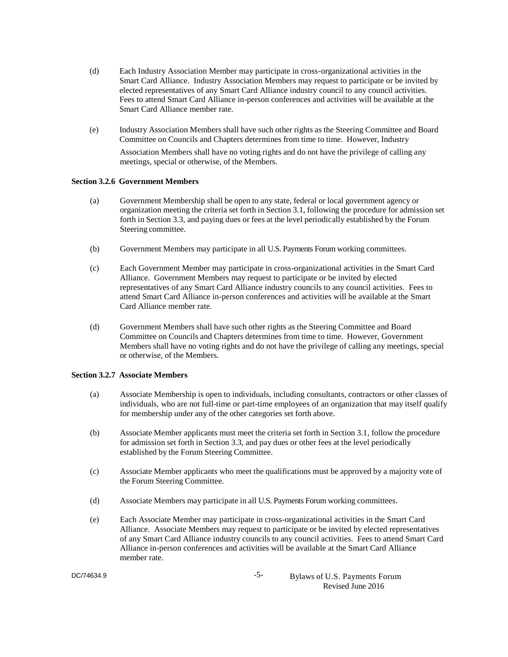- (d) Each Industry Association Member may participate in cross-organizational activities in the Smart Card Alliance. Industry Association Members may request to participate or be invited by elected representatives of any Smart Card Alliance industry council to any council activities. Fees to attend Smart Card Alliance in-person conferences and activities will be available at the Smart Card Alliance member rate.
- (e) Industry Association Members shall have such other rights as the Steering Committee and Board Committee on Councils and Chapters determines from time to time. However, Industry Association Members shall have no voting rights and do not have the privilege of calling any meetings, special or otherwise, of the Members.

## **Section 3.2.6 Government Members**

- (a) Government Membership shall be open to any state, federal or local government agency or organization meeting the criteria set forth in Section 3.1, following the procedure for admission set forth in Section 3.3, and paying dues or fees at the level periodically established by the Forum Steering committee.
- (b) Government Members may participate in all U.S. Payments Forum working committees.
- (c) Each Government Member may participate in cross-organizational activities in the Smart Card Alliance. Government Members may request to participate or be invited by elected representatives of any Smart Card Alliance industry councils to any council activities. Fees to attend Smart Card Alliance in-person conferences and activities will be available at the Smart Card Alliance member rate.
- (d) Government Members shall have such other rights as the Steering Committee and Board Committee on Councils and Chapters determines from time to time. However, Government Members shall have no voting rights and do not have the privilege of calling any meetings, special or otherwise, of the Members.

# **Section 3.2.7 Associate Members**

- (a) Associate Membership is open to individuals, including consultants, contractors or other classes of individuals, who are not full-time or part-time employees of an organization that may itself qualify for membership under any of the other categories set forth above.
- (b) Associate Member applicants must meet the criteria set forth in Section 3.1, follow the procedure for admission set forth in Section 3.3, and pay dues or other fees at the level periodically established by the Forum Steering Committee.
- (c) Associate Member applicants who meet the qualifications must be approved by a majority vote of the Forum Steering Committee.
- (d) Associate Members may participate in all U.S. Payments Forum working committees.
- (e) Each Associate Member may participate in cross-organizational activities in the Smart Card Alliance. Associate Members may request to participate or be invited by elected representatives of any Smart Card Alliance industry councils to any council activities. Fees to attend Smart Card Alliance in-person conferences and activities will be available at the Smart Card Alliance member rate.

DC/74634.9

-5- Bylaws of U.S. Payments Forum Revised June 2016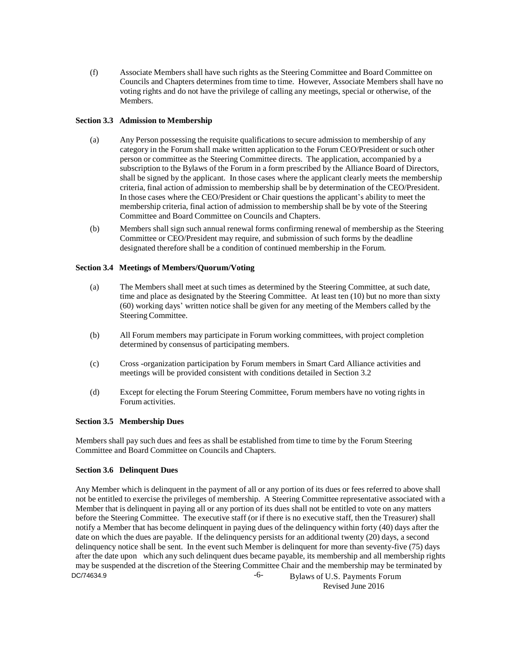(f) Associate Members shall have such rights as the Steering Committee and Board Committee on Councils and Chapters determines from time to time. However, Associate Members shall have no voting rights and do not have the privilege of calling any meetings, special or otherwise, of the Members.

# **Section 3.3 Admission to Membership**

- (a) Any Person possessing the requisite qualifications to secure admission to membership of any category in the Forum shall make written application to the Forum CEO/President or such other person or committee as the Steering Committee directs. The application, accompanied by a subscription to the Bylaws of the Forum in a form prescribed by the Alliance Board of Directors, shall be signed by the applicant. In those cases where the applicant clearly meets the membership criteria, final action of admission to membership shall be by determination of the CEO/President. In those cases where the CEO/President or Chair questions the applicant's ability to meet the membership criteria, final action of admission to membership shall be by vote of the Steering Committee and Board Committee on Councils and Chapters.
- (b) Members shall sign such annual renewal forms confirming renewal of membership as the Steering Committee or CEO/President may require, and submission of such forms by the deadline designated therefore shall be a condition of continued membership in the Forum.

## **Section 3.4 Meetings of Members/Quorum/Voting**

- (a) The Members shall meet at such times as determined by the Steering Committee, at such date, time and place as designated by the Steering Committee. At least ten (10) but no more than sixty (60) working days' written notice shall be given for any meeting of the Members called by the Steering Committee.
- (b) All Forum members may participate in Forum working committees, with project completion determined by consensus of participating members.
- (c) Cross -organization participation by Forum members in Smart Card Alliance activities and meetings will be provided consistent with conditions detailed in Section 3.2
- (d) Except for electing the Forum Steering Committee, Forum members have no voting rights in Forum activities.

## **Section 3.5 Membership Dues**

Members shall pay such dues and fees as shall be established from time to time by the Forum Steering Committee and Board Committee on Councils and Chapters.

# **Section 3.6 Delinquent Dues**

-6- Bylaws of U.S. Payments Forum DC/74634.9 Any Member which is delinquent in the payment of all or any portion of its dues or fees referred to above shall not be entitled to exercise the privileges of membership. A Steering Committee representative associated with a Member that is delinquent in paying all or any portion of its dues shall not be entitled to vote on any matters before the Steering Committee. The executive staff (or if there is no executive staff, then the Treasurer) shall notify a Member that has become delinquent in paying dues of the delinquency within forty (40) days after the date on which the dues are payable. If the delinquency persists for an additional twenty (20) days, a second delinquency notice shall be sent. In the event such Member is delinquent for more than seventy-five (75) days after the date upon which any such delinquent dues became payable, its membership and all membership rights may be suspended at the discretion of the Steering Committee Chair and the membership may be terminated by

Revised June 2016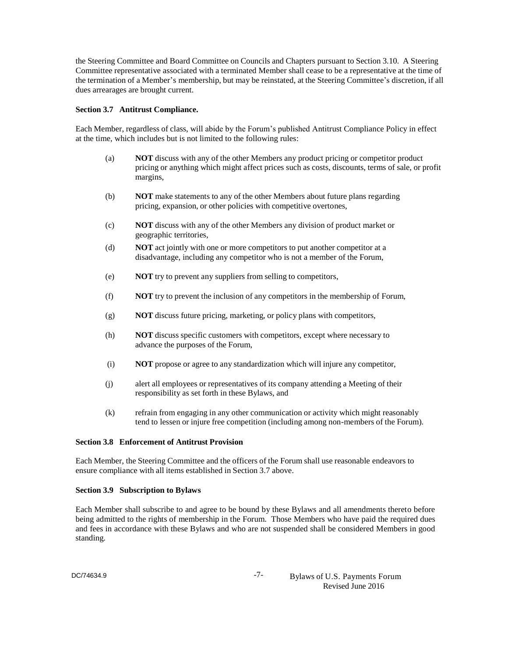the Steering Committee and Board Committee on Councils and Chapters pursuant to Section 3.10. A Steering Committee representative associated with a terminated Member shall cease to be a representative at the time of the termination of a Member's membership, but may be reinstated, at the Steering Committee's discretion, if all dues arrearages are brought current.

### **Section 3.7 Antitrust Compliance.**

Each Member, regardless of class, will abide by the Forum's published Antitrust Compliance Policy in effect at the time, which includes but is not limited to the following rules:

- (a) **NOT** discuss with any of the other Members any product pricing or competitor product pricing or anything which might affect prices such as costs, discounts, terms of sale, or profit margins,
- (b) **NOT** make statements to any of the other Members about future plans regarding pricing, expansion, or other policies with competitive overtones,
- (c) **NOT** discuss with any of the other Members any division of product market or geographic territories,
- (d) **NOT** act jointly with one or more competitors to put another competitor at a disadvantage, including any competitor who is not a member of the Forum,
- (e) **NOT** try to prevent any suppliers from selling to competitors,
- (f) **NOT** try to prevent the inclusion of any competitors in the membership of Forum,
- (g) **NOT** discuss future pricing, marketing, or policy plans with competitors,
- (h) **NOT** discuss specific customers with competitors, except where necessary to advance the purposes of the Forum,
- (i) **NOT** propose or agree to any standardization which will injure any competitor,
- (j) alert all employees or representatives of its company attending a Meeting of their responsibility as set forth in these Bylaws, and
- (k) refrain from engaging in any other communication or activity which might reasonably tend to lessen or injure free competition (including among non-members of the Forum).

## **Section 3.8 Enforcement of Antitrust Provision**

Each Member, the Steering Committee and the officers of the Forum shall use reasonable endeavors to ensure compliance with all items established in Section 3.7 above.

## **Section 3.9 Subscription to Bylaws**

Each Member shall subscribe to and agree to be bound by these Bylaws and all amendments thereto before being admitted to the rights of membership in the Forum. Those Members who have paid the required dues and fees in accordance with these Bylaws and who are not suspended shall be considered Members in good standing.

-7- Bylaws of U.S. Payments Forum Revised June 2016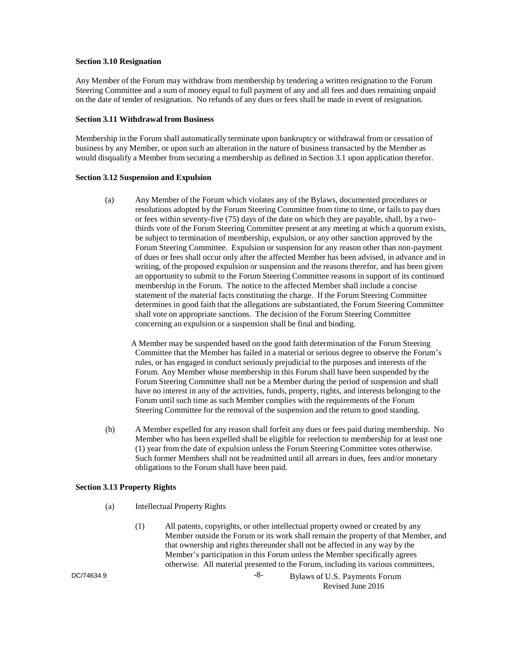## **Section 3.10 Resignation**

Any Member of the Forum may withdraw from membership by tendering a written resignation to the Forum Steering Committee and a sum of money equal to full payment of any and all fees and dues remaining unpaid on the date of tender of resignation. No refunds of any dues or fees shall be made in event of resignation.

## **Section 3.11 Withdrawal from Business**

Membership in the Forum shall automatically terminate upon bankruptcy or withdrawal from or cessation of business by any Member, or upon such an alteration in the nature of business transacted by the Member as would disqualify a Member from securing a membership as defined in Section 3.1 upon application therefor.

## **Section 3.12 Suspension and Expulsion**

(a) Any Member of the Forum which violates any of the Bylaws, documented procedures or resolutions adopted by the Forum Steering Committee from time to time, or fails to pay dues or fees within seventy-five (75) days of the date on which they are payable, shall, by a twothirds vote of the Forum Steering Committee present at any meeting at which a quorum exists, be subject to termination of membership, expulsion, or any other sanction approved by the Forum Steering Committee. Expulsion or suspension for any reason other than non-payment of dues or fees shall occur only after the affected Member has been advised, in advance and in writing, of the proposed expulsion or suspension and the reasons therefor, and has been given an opportunity to submit to the Forum Steering Committee reasons in support of its continued membership in the Forum. The notice to the affected Member shall include a concise statement of the material facts constituting the charge. If the Forum Steering Committee determines in good faith that the allegations are substantiated, the Forum Steering Committee shall vote on appropriate sanctions. The decision of the Forum Steering Committee concerning an expulsion or a suspension shall be final and binding.

A Member may be suspended based on the good faith determination of the Forum Steering Committee that the Member has failed in a material or serious degree to observe the Forum's rules, or has engaged in conduct seriously prejudicial to the purposes and interests of the Forum. Any Member whose membership in this Forum shall have been suspended by the Forum Steering Committee shall not be a Member during the period of suspension and shall have no interest in any of the activities, funds, property, rights, and interests belonging to the Forum until such time as such Member complies with the requirements of the Forum Steering Committee for the removal of the suspension and the return to good standing.

(b) A Member expelled for any reason shall forfeit any dues or fees paid during membership. No Member who has been expelled shall be eligible for reelection to membership for at least one (1) year from the date of expulsion unless the Forum Steering Committee votes otherwise. Such former Members shall not be readmitted until all arrears in dues, fees and/or monetary obligations to the Forum shall have been paid.

# **Section 3.13 Property Rights**

- (a) Intellectual Property Rights
	- (1) All patents, copyrights, or other intellectual property owned or created by any Member outside the Forum or its work shall remain the property of that Member, and that ownership and rights thereunder shall not be affected in any way by the Member's participation in this Forum unless the Member specifically agrees otherwise. All material presented to the Forum, including its various committees,

DC/74634.9

-8- Bylaws of U.S. Payments Forum Revised June 2016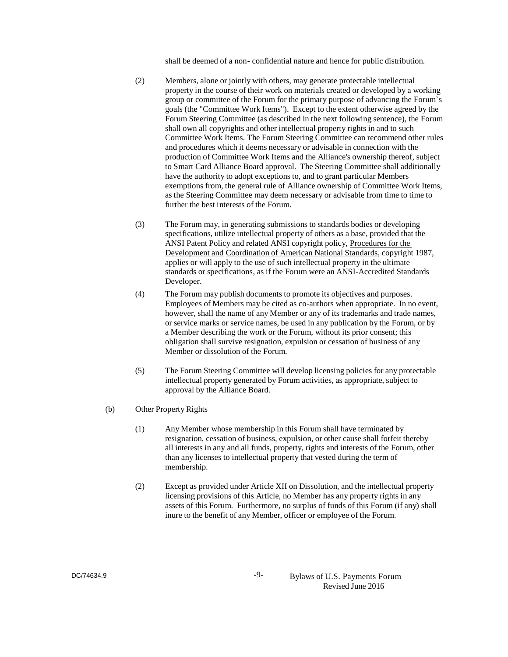shall be deemed of a non- confidential nature and hence for public distribution.

- (2) Members, alone or jointly with others, may generate protectable intellectual property in the course of their work on materials created or developed by a working group or committee of the Forum for the primary purpose of advancing the Forum's goals (the "Committee Work Items"). Except to the extent otherwise agreed by the Forum Steering Committee (as described in the next following sentence), the Forum shall own all copyrights and other intellectual property rights in and to such Committee Work Items. The Forum Steering Committee can recommend other rules and procedures which it deems necessary or advisable in connection with the production of Committee Work Items and the Alliance's ownership thereof, subject to Smart Card Alliance Board approval. The Steering Committee shall additionally have the authority to adopt exceptions to, and to grant particular Members exemptions from, the general rule of Alliance ownership of Committee Work Items, as the Steering Committee may deem necessary or advisable from time to time to further the best interests of the Forum.
- (3) The Forum may, in generating submissions to standards bodies or developing specifications, utilize intellectual property of others as a base, provided that the ANSI Patent Policy and related ANSI copyright policy, Procedures for the Development and Coordination of American National Standards, copyright 1987, applies or will apply to the use of such intellectual property in the ultimate standards or specifications, as if the Forum were an ANSI-Accredited Standards Developer.
- (4) The Forum may publish documents to promote its objectives and purposes. Employees of Members may be cited as co-authors when appropriate. In no event, however, shall the name of any Member or any of its trademarks and trade names, or service marks or service names, be used in any publication by the Forum, or by a Member describing the work or the Forum, without its prior consent; this obligation shall survive resignation, expulsion or cessation of business of any Member or dissolution of the Forum.
- (5) The Forum Steering Committee will develop licensing policies for any protectable intellectual property generated by Forum activities, as appropriate, subject to approval by the Alliance Board.
- (b) Other Property Rights
	- (1) Any Member whose membership in this Forum shall have terminated by resignation, cessation of business, expulsion, or other cause shall forfeit thereby all interests in any and all funds, property, rights and interests of the Forum, other than any licenses to intellectual property that vested during the term of membership.
	- (2) Except as provided under Article XII on Dissolution, and the intellectual property licensing provisions of this Article, no Member has any property rights in any assets of this Forum. Furthermore, no surplus of funds of this Forum (if any) shall inure to the benefit of any Member, officer or employee of the Forum.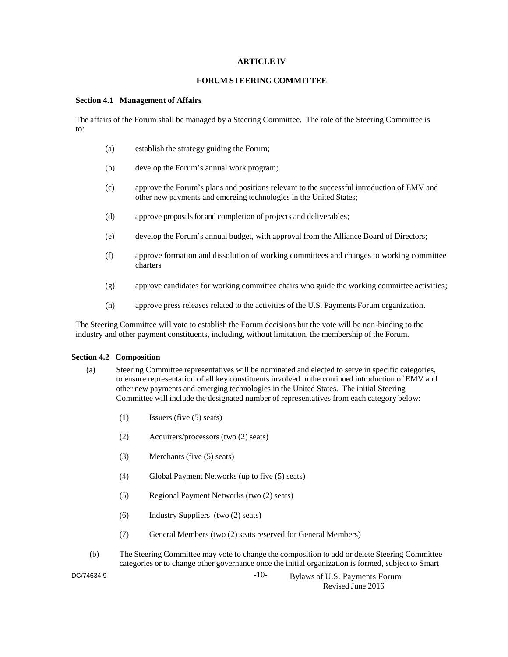## **ARTICLE IV**

## **FORUM STEERING COMMITTEE**

## **Section 4.1 Management of Affairs**

The affairs of the Forum shall be managed by a Steering Committee. The role of the Steering Committee is to:

- (a) establish the strategy guiding the Forum;
- (b) develop the Forum's annual work program;
- (c) approve the Forum's plans and positions relevant to the successful introduction of EMV and other new payments and emerging technologies in the United States;
- (d) approve proposals for and completion of projects and deliverables;
- (e) develop the Forum's annual budget, with approval from the Alliance Board of Directors;
- (f) approve formation and dissolution of working committees and changes to working committee charters
- (g) approve candidates for working committee chairs who guide the working committee activities;
- (h) approve press releases related to the activities of the U.S. Payments Forum organization.

The Steering Committee will vote to establish the Forum decisions but the vote will be non-binding to the industry and other payment constituents, including, without limitation, the membership of the Forum.

## **Section 4.2 Composition**

- (a) Steering Committee representatives will be nominated and elected to serve in specific categories, to ensure representation of all key constituents involved in the continued introduction of EMV and other new payments and emerging technologies in the United States. The initial Steering Committee will include the designated number of representatives from each category below:
	- (1) Issuers (five (5) seats)
	- (2) Acquirers/processors (two (2) seats)
	- (3) Merchants (five (5) seats)
	- (4) Global Payment Networks (up to five (5) seats)
	- (5) Regional Payment Networks (two (2) seats)
	- (6) Industry Suppliers (two (2) seats)
	- (7) General Members (two (2) seats reserved for General Members)
- (b) The Steering Committee may vote to change the composition to add or delete Steering Committee categories or to change other governance once the initial organization is formed, subject to Smart

DC/74634.9

-10- Bylaws of U.S. Payments Forum Revised June 2016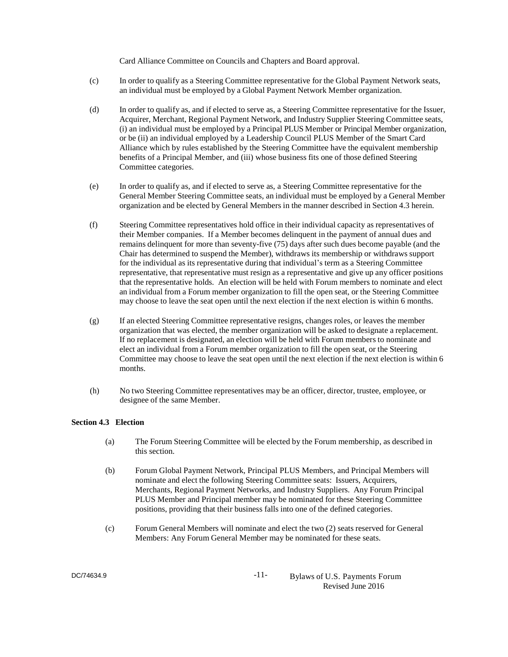Card Alliance Committee on Councils and Chapters and Board approval.

- (c) In order to qualify as a Steering Committee representative for the Global Payment Network seats, an individual must be employed by a Global Payment Network Member organization.
- (d) In order to qualify as, and if elected to serve as, a Steering Committee representative for the Issuer, Acquirer, Merchant, Regional Payment Network, and Industry Supplier Steering Committee seats, (i) an individual must be employed by a Principal PLUS Member or Principal Member organization, or be (ii) an individual employed by a Leadership Council PLUS Member of the Smart Card Alliance which by rules established by the Steering Committee have the equivalent membership benefits of a Principal Member, and (iii) whose business fits one of those defined Steering Committee categories.
- (e) In order to qualify as, and if elected to serve as, a Steering Committee representative for the General Member Steering Committee seats, an individual must be employed by a General Member organization and be elected by General Members in the manner described in Section 4.3 herein.
- (f) Steering Committee representatives hold office in their individual capacity as representatives of their Member companies. If a Member becomes delinquent in the payment of annual dues and remains delinquent for more than seventy-five (75) days after such dues become payable (and the Chair has determined to suspend the Member), withdraws its membership or withdraws support for the individual as its representative during that individual's term as a Steering Committee representative, that representative must resign as a representative and give up any officer positions that the representative holds. An election will be held with Forum members to nominate and elect an individual from a Forum member organization to fill the open seat, or the Steering Committee may choose to leave the seat open until the next election if the next election is within 6 months.
- (g) If an elected Steering Committee representative resigns, changes roles, or leaves the member organization that was elected, the member organization will be asked to designate a replacement. If no replacement is designated, an election will be held with Forum members to nominate and elect an individual from a Forum member organization to fill the open seat, or the Steering Committee may choose to leave the seat open until the next election if the next election is within 6 months.
- (h) No two Steering Committee representatives may be an officer, director, trustee, employee, or designee of the same Member.

## **Section 4.3 Election**

- (a) The Forum Steering Committee will be elected by the Forum membership, as described in this section.
- (b) Forum Global Payment Network, Principal PLUS Members, and Principal Members will nominate and elect the following Steering Committee seats: Issuers, Acquirers, Merchants, Regional Payment Networks, and Industry Suppliers. Any Forum Principal PLUS Member and Principal member may be nominated for these Steering Committee positions, providing that their business falls into one of the defined categories.
- (c) Forum General Members will nominate and elect the two (2) seats reserved for General Members: Any Forum General Member may be nominated for these seats.

DC/74634.9

-11- Bylaws of U.S. Payments Forum Revised June 2016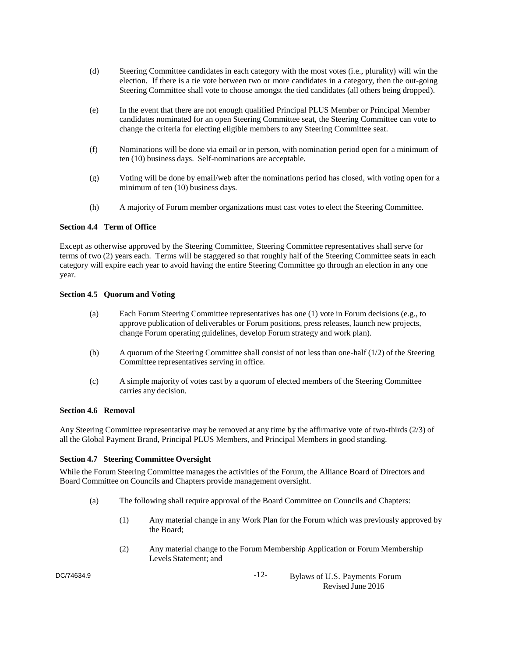- (d) Steering Committee candidates in each category with the most votes (i.e., plurality) will win the election. If there is a tie vote between two or more candidates in a category, then the out-going Steering Committee shall vote to choose amongst the tied candidates (all others being dropped).
- (e) In the event that there are not enough qualified Principal PLUS Member or Principal Member candidates nominated for an open Steering Committee seat, the Steering Committee can vote to change the criteria for electing eligible members to any Steering Committee seat.
- (f) Nominations will be done via email or in person, with nomination period open for a minimum of ten (10) business days. Self-nominations are acceptable.
- (g) Voting will be done by email/web after the nominations period has closed, with voting open for a minimum of ten (10) business days.
- (h) A majority of Forum member organizations must cast votes to elect the Steering Committee.

## **Section 4.4 Term of Office**

Except as otherwise approved by the Steering Committee, Steering Committee representatives shall serve for terms of two (2) years each. Terms will be staggered so that roughly half of the Steering Committee seats in each category will expire each year to avoid having the entire Steering Committee go through an election in any one year.

## **Section 4.5 Quorum and Voting**

- (a) Each Forum Steering Committee representatives has one (1) vote in Forum decisions (e.g., to approve publication of deliverables or Forum positions, press releases, launch new projects, change Forum operating guidelines, develop Forum strategy and work plan).
- (b) A quorum of the Steering Committee shall consist of not less than one-half (1/2) of the Steering Committee representatives serving in office.
- (c) A simple majority of votes cast by a quorum of elected members of the Steering Committee carries any decision.

## **Section 4.6 Removal**

Any Steering Committee representative may be removed at any time by the affirmative vote of two-thirds (2/3) of all the Global Payment Brand, Principal PLUS Members, and Principal Members in good standing.

## **Section 4.7 Steering Committee Oversight**

While the Forum Steering Committee manages the activities of the Forum, the Alliance Board of Directors and Board Committee on Councils and Chapters provide management oversight.

- (a) The following shall require approval of the Board Committee on Councils and Chapters:
	- (1) Any material change in any Work Plan for the Forum which was previously approved by the Board;
	- (2) Any material change to the Forum Membership Application or Forum Membership Levels Statement; and

DC/74634.9

-12- Bylaws of U.S. Payments Forum Revised June 2016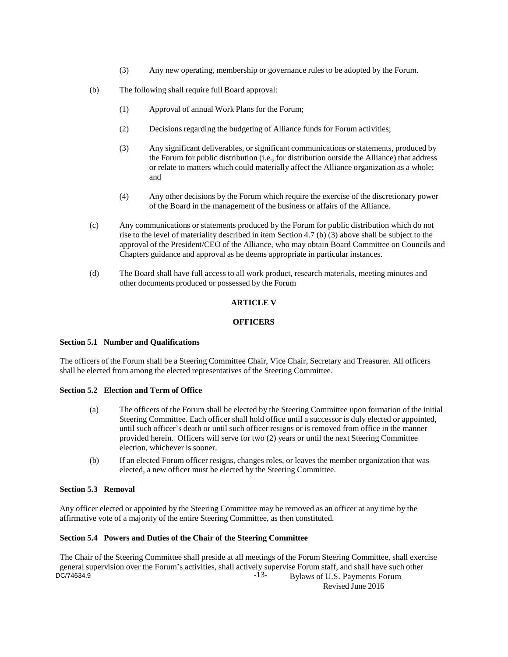- (3) Any new operating, membership or governance rules to be adopted by the Forum.
- (b) The following shall require full Board approval:
	- (1) Approval of annual Work Plans for the Forum;
	- (2) Decisions regarding the budgeting of Alliance funds for Forum activities;
	- (3) Any significant deliverables, or significant communications or statements, produced by the Forum for public distribution (i.e., for distribution outside the Alliance) that address or relate to matters which could materially affect the Alliance organization as a whole; and
	- (4) Any other decisions by the Forum which require the exercise of the discretionary power of the Board in the management of the business or affairs of the Alliance.
- (c) Any communications or statements produced by the Forum for public distribution which do not rise to the level of materiality described in item Section 4.7 (b) (3) above shall be subject to the approval of the President/CEO of the Alliance, who may obtain Board Committee on Councils and Chapters guidance and approval as he deems appropriate in particular instances.
- (d) The Board shall have full access to all work product, research materials, meeting minutes and other documents produced or possessed by the Forum

## **ARTICLE V**

## **OFFICERS**

## **Section 5.1 Number and Qualifications**

The officers of the Forum shall be a Steering Committee Chair, Vice Chair, Secretary and Treasurer. All officers shall be elected from among the elected representatives of the Steering Committee.

## **Section 5.2 Election and Term of Office**

- (a) The officers of the Forum shall be elected by the Steering Committee upon formation of the initial Steering Committee. Each officer shall hold office until a successor is duly elected or appointed, until such officer's death or until such officer resigns or is removed from office in the manner provided herein. Officers will serve for two (2) years or until the next Steering Committee election, whichever is sooner.
- (b) If an elected Forum officer resigns, changes roles, or leaves the member organization that was elected, a new officer must be elected by the Steering Committee.

## **Section 5.3 Removal**

Any officer elected or appointed by the Steering Committee may be removed as an officer at any time by the affirmative vote of a majority of the entire Steering Committee, as then constituted.

## **Section 5.4 Powers and Duties of the Chair of the Steering Committee**

-13- Bylaws of U.S. Payments Forum DC/74634.9 The Chair of the Steering Committee shall preside at all meetings of the Forum Steering Committee, shall exercise general supervision over the Forum's activities, shall actively supervise Forum staff, and shall have such other

Revised June 2016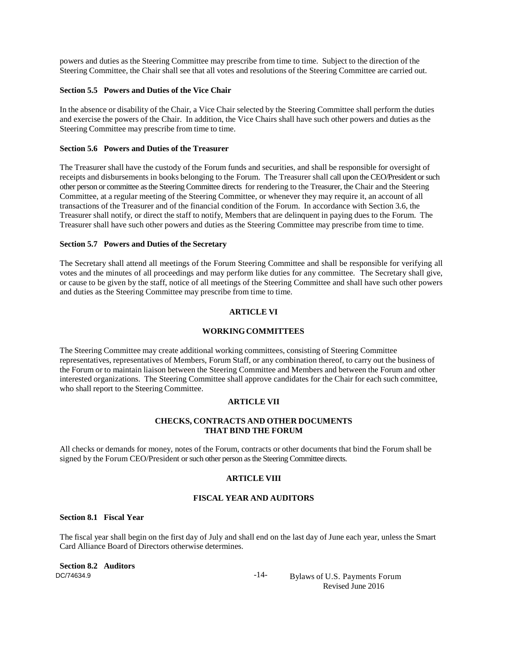powers and duties as the Steering Committee may prescribe from time to time. Subject to the direction of the Steering Committee, the Chair shall see that all votes and resolutions of the Steering Committee are carried out.

#### **Section 5.5 Powers and Duties of the Vice Chair**

In the absence or disability of the Chair, a Vice Chair selected by the Steering Committee shall perform the duties and exercise the powers of the Chair. In addition, the Vice Chairs shall have such other powers and duties as the Steering Committee may prescribe from time to time.

#### **Section 5.6 Powers and Duties of the Treasurer**

The Treasurer shall have the custody of the Forum funds and securities, and shall be responsible for oversight of receipts and disbursements in books belonging to the Forum. The Treasurer shall call upon the CEO/President or such other person or committee as the Steering Committee directs for rendering to the Treasurer, the Chair and the Steering Committee, at a regular meeting of the Steering Committee, or whenever they may require it, an account of all transactions of the Treasurer and of the financial condition of the Forum. In accordance with Section 3.6, the Treasurer shall notify, or direct the staff to notify, Members that are delinquent in paying dues to the Forum. The Treasurer shall have such other powers and duties as the Steering Committee may prescribe from time to time.

## **Section 5.7 Powers and Duties of the Secretary**

The Secretary shall attend all meetings of the Forum Steering Committee and shall be responsible for verifying all votes and the minutes of all proceedings and may perform like duties for any committee. The Secretary shall give, or cause to be given by the staff, notice of all meetings of the Steering Committee and shall have such other powers and duties as the Steering Committee may prescribe from time to time.

#### **ARTICLE VI**

#### **WORKINGCOMMITTEES**

The Steering Committee may create additional working committees, consisting of Steering Committee representatives, representatives of Members, Forum Staff, or any combination thereof, to carry out the business of the Forum or to maintain liaison between the Steering Committee and Members and between the Forum and other interested organizations. The Steering Committee shall approve candidates for the Chair for each such committee, who shall report to the Steering Committee.

# **ARTICLE VII**

## **CHECKS, CONTRACTS AND OTHER DOCUMENTS THAT BIND THE FORUM**

All checks or demands for money, notes of the Forum, contracts or other documents that bind the Forum shall be signed by the Forum CEO/President or such other person as the Steering Committee directs.

#### **ARTICLE VIII**

## **FISCAL YEAR AND AUDITORS**

## **Section 8.1 Fiscal Year**

The fiscal year shall begin on the first day of July and shall end on the last day of June each year, unless the Smart Card Alliance Board of Directors otherwise determines.

DC/74634.9 **Section 8.2 Auditors**

-14- Bylaws of U.S. Payments Forum Revised June 2016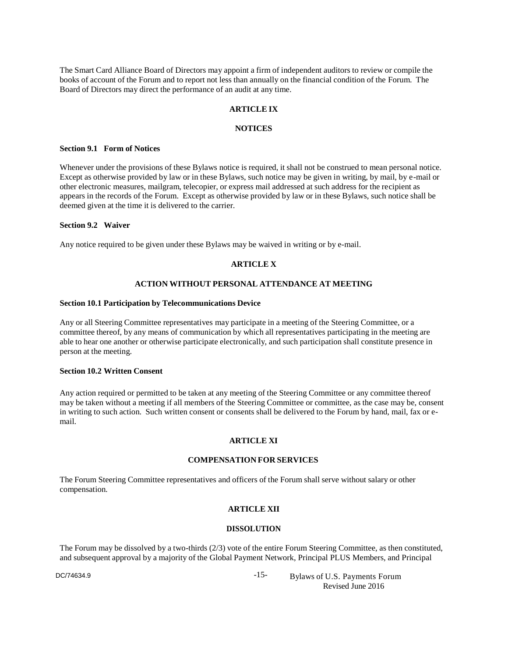The Smart Card Alliance Board of Directors may appoint a firm of independent auditors to review or compile the books of account of the Forum and to report not less than annually on the financial condition of the Forum. The Board of Directors may direct the performance of an audit at any time.

## **ARTICLE IX**

## **NOTICES**

#### **Section 9.1 Form of Notices**

Whenever under the provisions of these Bylaws notice is required, it shall not be construed to mean personal notice. Except as otherwise provided by law or in these Bylaws, such notice may be given in writing, by mail, by e-mail or other electronic measures, mailgram, telecopier, or express mail addressed at such address for the recipient as appears in the records of the Forum. Except as otherwise provided by law or in these Bylaws, such notice shall be deemed given at the time it is delivered to the carrier.

#### **Section 9.2 Waiver**

Any notice required to be given under these Bylaws may be waived in writing or by e-mail.

## **ARTICLE X**

## **ACTION WITHOUT PERSONAL ATTENDANCE AT MEETING**

#### **Section 10.1 Participation by Telecommunications Device**

Any or all Steering Committee representatives may participate in a meeting of the Steering Committee, or a committee thereof, by any means of communication by which all representatives participating in the meeting are able to hear one another or otherwise participate electronically, and such participation shall constitute presence in person at the meeting.

#### **Section 10.2 Written Consent**

Any action required or permitted to be taken at any meeting of the Steering Committee or any committee thereof may be taken without a meeting if all members of the Steering Committee or committee, as the case may be, consent in writing to such action. Such written consent or consents shall be delivered to the Forum by hand, mail, fax or email.

## **ARTICLE XI**

#### **COMPENSATION FOR SERVICES**

The Forum Steering Committee representatives and officers of the Forum shall serve without salary or other compensation.

## **ARTICLE XII**

## **DISSOLUTION**

The Forum may be dissolved by a two-thirds (2/3) vote of the entire Forum Steering Committee, as then constituted, and subsequent approval by a majority of the Global Payment Network, Principal PLUS Members, and Principal

DC/74634.9

-15- Bylaws of U.S. Payments Forum Revised June 2016